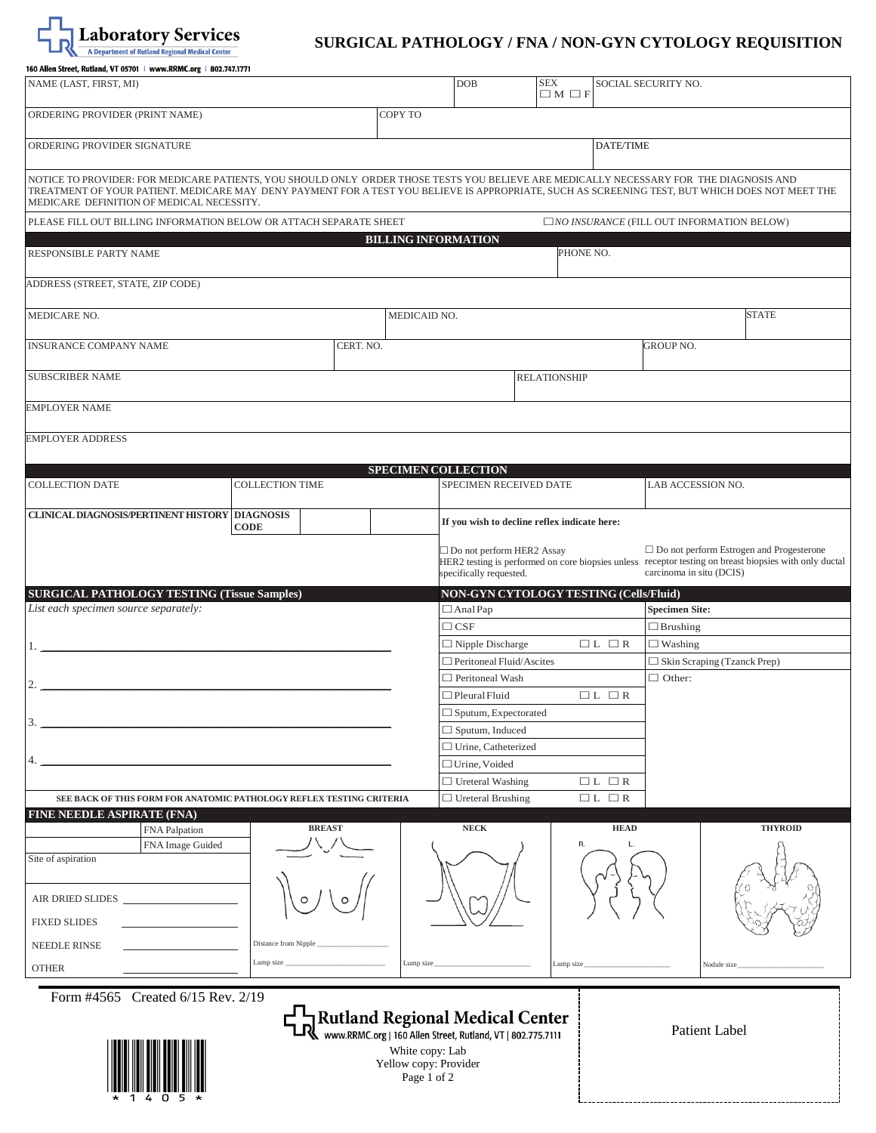# **Laboratory Services** A Department of Rutland Regional Medical Center

## **SURGICAL PATHOLOGY / FNA / NON-GYN CYTOLOGY REQUISITION**

160 Allen Street, Rutland, VT 05701 | www.RRMC.org | 802.747.1771

| NAME (LAST, FIRST, MI)                                                                                                                                                                                                                                                                                                                 |                                     |                            | DOB                                                   | <b>SEX</b><br>$\Box M \Box F$ |                                                 | SOCIAL SECURITY NO.                |                                                                                                        |
|----------------------------------------------------------------------------------------------------------------------------------------------------------------------------------------------------------------------------------------------------------------------------------------------------------------------------------------|-------------------------------------|----------------------------|-------------------------------------------------------|-------------------------------|-------------------------------------------------|------------------------------------|--------------------------------------------------------------------------------------------------------|
| ORDERING PROVIDER (PRINT NAME)                                                                                                                                                                                                                                                                                                         |                                     | COPY TO                    |                                                       |                               |                                                 |                                    |                                                                                                        |
| ORDERING PROVIDER SIGNATURE                                                                                                                                                                                                                                                                                                            |                                     |                            |                                                       |                               | DATE/TIME                                       |                                    |                                                                                                        |
|                                                                                                                                                                                                                                                                                                                                        |                                     |                            |                                                       |                               |                                                 |                                    |                                                                                                        |
| NOTICE TO PROVIDER: FOR MEDICARE PATIENTS, YOU SHOULD ONLY ORDER THOSE TESTS YOU BELIEVE ARE MEDICALLY NECESSARY FOR THE DIAGNOSIS AND<br>TREATMENT OF YOUR PATIENT. MEDICARE MAY DENY PAYMENT FOR A TEST YOU BELIEVE IS APPROPRIATE, SUCH AS SCREENING TEST, BUT WHICH DOES NOT MEET THE<br>MEDICARE DEFINITION OF MEDICAL NECESSITY. |                                     |                            |                                                       |                               |                                                 |                                    |                                                                                                        |
| PLEASE FILL OUT BILLING INFORMATION BELOW OR ATTACH SEPARATE SHEET<br>$\Box$ <i>NO INSURANCE</i> (FILL OUT INFORMATION BELOW)                                                                                                                                                                                                          |                                     |                            |                                                       |                               |                                                 |                                    |                                                                                                        |
| <b>BILLING INFORMATION</b>                                                                                                                                                                                                                                                                                                             |                                     |                            |                                                       |                               |                                                 |                                    |                                                                                                        |
| PHONE NO.<br>RESPONSIBLE PARTY NAME                                                                                                                                                                                                                                                                                                    |                                     |                            |                                                       |                               |                                                 |                                    |                                                                                                        |
| ADDRESS (STREET, STATE, ZIP CODE)                                                                                                                                                                                                                                                                                                      |                                     |                            |                                                       |                               |                                                 |                                    |                                                                                                        |
| MEDICARE NO.                                                                                                                                                                                                                                                                                                                           |                                     | MEDICAID NO.               |                                                       |                               |                                                 |                                    | <b>STATE</b>                                                                                           |
| <b>INSURANCE COMPANY NAME</b>                                                                                                                                                                                                                                                                                                          | CERT. NO.                           |                            |                                                       |                               |                                                 | GROUP NO.                          |                                                                                                        |
|                                                                                                                                                                                                                                                                                                                                        |                                     |                            |                                                       |                               |                                                 |                                    |                                                                                                        |
| <b>SUBSCRIBER NAME</b>                                                                                                                                                                                                                                                                                                                 |                                     |                            |                                                       | <b>RELATIONSHIP</b>           |                                                 |                                    |                                                                                                        |
| <b>EMPLOYER NAME</b>                                                                                                                                                                                                                                                                                                                   |                                     |                            |                                                       |                               |                                                 |                                    |                                                                                                        |
| <b>EMPLOYER ADDRESS</b>                                                                                                                                                                                                                                                                                                                |                                     |                            |                                                       |                               |                                                 |                                    |                                                                                                        |
|                                                                                                                                                                                                                                                                                                                                        |                                     | <b>SPECIMEN COLLECTION</b> |                                                       |                               |                                                 |                                    |                                                                                                        |
| <b>COLLECTION DATE</b>                                                                                                                                                                                                                                                                                                                 | <b>COLLECTION TIME</b>              |                            | SPECIMEN RECEIVED DATE                                |                               |                                                 | LAB ACCESSION NO.                  |                                                                                                        |
| <b>CLINICAL DIAGNOSIS/PERTINENT HISTORY</b>                                                                                                                                                                                                                                                                                            | <b>DIAGNOSIS</b><br><b>CODE</b>     |                            | If you wish to decline reflex indicate here:          |                               |                                                 |                                    |                                                                                                        |
|                                                                                                                                                                                                                                                                                                                                        | $\square$ Do not perform HER2 Assay |                            |                                                       |                               | $\Box$ Do not perform Estrogen and Progesterone |                                    |                                                                                                        |
|                                                                                                                                                                                                                                                                                                                                        |                                     |                            | specifically requested.                               |                               |                                                 | carcinoma in situ (DCIS)           | HER2 testing is performed on core biopsies unless receptor testing on breast biopsies with only ductal |
| <b>SURGICAL PATHOLOGY TESTING (Tissue Samples)</b>                                                                                                                                                                                                                                                                                     |                                     |                            | NON-GYN CYTOLOGY TESTING (Cells/Fluid)                |                               |                                                 |                                    |                                                                                                        |
| List each specimen source separately:                                                                                                                                                                                                                                                                                                  |                                     |                            | $\Box$ Anal Pap                                       |                               |                                                 | <b>Specimen Site:</b>              |                                                                                                        |
|                                                                                                                                                                                                                                                                                                                                        |                                     |                            | $\Box$ CSF                                            |                               |                                                 | $\Box$ Brushing                    |                                                                                                        |
|                                                                                                                                                                                                                                                                                                                                        |                                     |                            | $\Box$ Nipple Discharge                               |                               | $\Box L \Box R$                                 | $\Box$ Washing                     |                                                                                                        |
|                                                                                                                                                                                                                                                                                                                                        |                                     |                            | $\Box$ Peritoneal Fluid/Ascites                       |                               |                                                 | $\Box$ Skin Scraping (Tzanck Prep) |                                                                                                        |
| 2.                                                                                                                                                                                                                                                                                                                                     |                                     |                            | □ Peritoneal Wash                                     |                               |                                                 | $\Box$ Other:                      |                                                                                                        |
|                                                                                                                                                                                                                                                                                                                                        |                                     |                            | $\Box$ Pleural Fluid                                  |                               | $\Box L \Box R$                                 |                                    |                                                                                                        |
|                                                                                                                                                                                                                                                                                                                                        |                                     |                            | $\Box$ Sputum, Expectorated<br>$\Box$ Sputum, Induced |                               |                                                 |                                    |                                                                                                        |
|                                                                                                                                                                                                                                                                                                                                        |                                     |                            | □ Urine, Catheterized                                 |                               |                                                 |                                    |                                                                                                        |
|                                                                                                                                                                                                                                                                                                                                        |                                     |                            | □Urine, Voided                                        |                               |                                                 |                                    |                                                                                                        |
|                                                                                                                                                                                                                                                                                                                                        |                                     |                            | $\Box$ Ureteral Washing                               |                               | $\Box L \Box R$                                 |                                    |                                                                                                        |
| SEE BACK OF THIS FORM FOR ANATOMIC PATHOLOGY REFLEX TESTING CRITERIA                                                                                                                                                                                                                                                                   |                                     |                            | $\Box$ Ureteral Brushing                              |                               | $\Box L \Box R$                                 |                                    |                                                                                                        |
| <b>FINE NEEDLE ASPIRATE (FNA)</b>                                                                                                                                                                                                                                                                                                      |                                     |                            |                                                       |                               |                                                 |                                    |                                                                                                        |
| <b>FNA Palpation</b>                                                                                                                                                                                                                                                                                                                   | <b>BREAST</b>                       |                            | <b>NECK</b>                                           |                               | <b>HEAD</b>                                     |                                    | <b>THYROID</b>                                                                                         |
| FNA Image Guided<br>Site of aspiration                                                                                                                                                                                                                                                                                                 |                                     |                            |                                                       | R.                            | L                                               |                                    |                                                                                                        |
|                                                                                                                                                                                                                                                                                                                                        |                                     |                            |                                                       |                               |                                                 |                                    |                                                                                                        |
|                                                                                                                                                                                                                                                                                                                                        |                                     |                            |                                                       |                               |                                                 |                                    |                                                                                                        |
| AIR DRIED SLIDES                                                                                                                                                                                                                                                                                                                       |                                     |                            |                                                       |                               |                                                 |                                    |                                                                                                        |
| <b>FIXED SLIDES</b>                                                                                                                                                                                                                                                                                                                    |                                     |                            |                                                       |                               |                                                 |                                    |                                                                                                        |
| <b>NEEDLE RINSE</b>                                                                                                                                                                                                                                                                                                                    | Distance from Nipple                |                            |                                                       |                               |                                                 |                                    |                                                                                                        |
| <b>OTHER</b>                                                                                                                                                                                                                                                                                                                           | Lump size                           | Lump size                  |                                                       | Lump size                     |                                                 |                                    | Nodule size                                                                                            |
| Form #4565 Created 6/15 Rev. 2/19                                                                                                                                                                                                                                                                                                      |                                     |                            |                                                       |                               |                                                 |                                    |                                                                                                        |
|                                                                                                                                                                                                                                                                                                                                        |                                     |                            |                                                       |                               |                                                 |                                    |                                                                                                        |
| Rutland Regional Medical Center<br>LR www.RRMC.org   160 Allen Street, Rutland, VT   802.775.7111<br>Patient Label<br>_________________________                                                                                                                                                                                        |                                     |                            |                                                       |                               |                                                 |                                    |                                                                                                        |

White copy: Lab Yellow copy: Provider Page 1 of 2